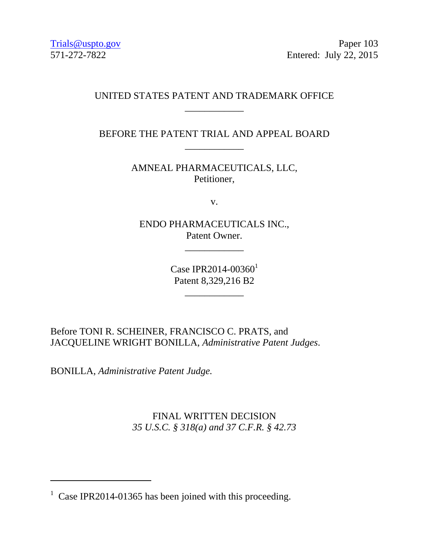Trials@uspto.gov Paper 103 571-272-7822 Entered: July 22, 2015

## UNITED STATES PATENT AND TRADEMARK OFFICE \_\_\_\_\_\_\_\_\_\_\_\_

## BEFORE THE PATENT TRIAL AND APPEAL BOARD \_\_\_\_\_\_\_\_\_\_\_\_

AMNEAL PHARMACEUTICALS, LLC, Petitioner,

v.

ENDO PHARMACEUTICALS INC., Patent Owner.

\_\_\_\_\_\_\_\_\_\_\_\_

Case IPR2014-00360 $^{1}$ Patent 8,329,216 B2

\_\_\_\_\_\_\_\_\_\_\_\_

Before TONI R. SCHEINER, FRANCISCO C. PRATS, and JACQUELINE WRIGHT BONILLA, *Administrative Patent Judges*.

BONILLA, *Administrative Patent Judge.* 

-

FINAL WRITTEN DECISION *35 U.S.C. § 318(a) and 37 C.F.R. § 42.73* 

<sup>&</sup>lt;sup>1</sup> Case IPR2014-01365 has been joined with this proceeding.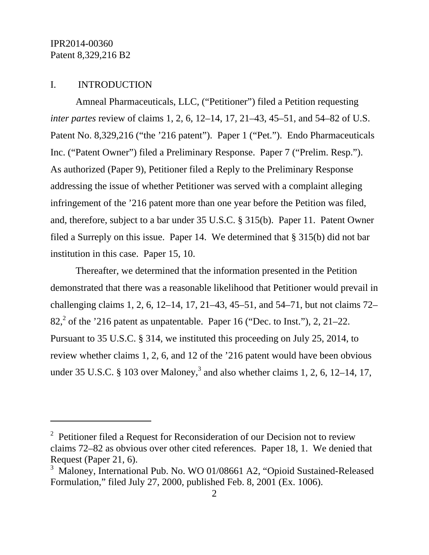-

### I. INTRODUCTION

Amneal Pharmaceuticals, LLC, ("Petitioner") filed a Petition requesting *inter partes* review of claims 1, 2, 6, 12–14, 17, 21–43, 45–51, and 54–82 of U.S. Patent No. 8,329,216 ("the '216 patent"). Paper 1 ("Pet."). Endo Pharmaceuticals Inc. ("Patent Owner") filed a Preliminary Response. Paper 7 ("Prelim. Resp."). As authorized (Paper 9), Petitioner filed a Reply to the Preliminary Response addressing the issue of whether Petitioner was served with a complaint alleging infringement of the '216 patent more than one year before the Petition was filed, and, therefore, subject to a bar under 35 U.S.C. § 315(b). Paper 11. Patent Owner filed a Surreply on this issue. Paper 14. We determined that § 315(b) did not bar institution in this case. Paper 15, 10.

Thereafter, we determined that the information presented in the Petition demonstrated that there was a reasonable likelihood that Petitioner would prevail in challenging claims 1, 2, 6, 12–14, 17, 21–43, 45–51, and 54–71, but not claims 72–  $82<sup>2</sup>$  of the '216 patent as unpatentable. Paper 16 ("Dec. to Inst."), 2, 21–22. Pursuant to 35 U.S.C. § 314, we instituted this proceeding on July 25, 2014, to review whether claims 1, 2, 6, and 12 of the '216 patent would have been obvious under 35 U.S.C. § 103 over Maloney,<sup>3</sup> and also whether claims 1, 2, 6, 12–14, 17,

<sup>&</sup>lt;sup>2</sup> Petitioner filed a Request for Reconsideration of our Decision not to review claims 72–82 as obvious over other cited references. Paper 18, 1. We denied that Request (Paper 21, 6).

<sup>3</sup> Maloney, International Pub. No. WO 01/08661 A2, "Opioid Sustained-Released Formulation," filed July 27, 2000, published Feb. 8, 2001 (Ex. 1006).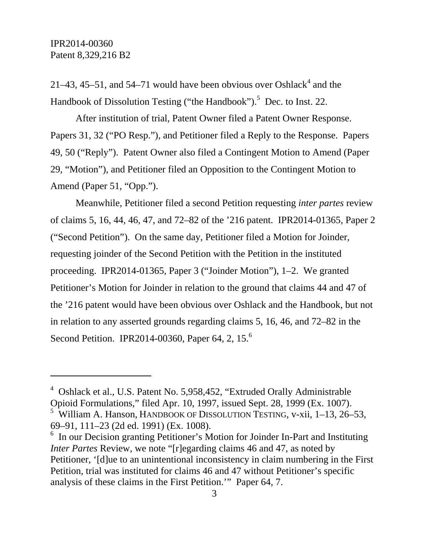21–43, 45–51, and 54–71 would have been obvious over Oshlack<sup>4</sup> and the Handbook of Dissolution Testing ("the Handbook").<sup>5</sup> Dec. to Inst. 22.

After institution of trial, Patent Owner filed a Patent Owner Response. Papers 31, 32 ("PO Resp."), and Petitioner filed a Reply to the Response. Papers 49, 50 ("Reply"). Patent Owner also filed a Contingent Motion to Amend (Paper 29, "Motion"), and Petitioner filed an Opposition to the Contingent Motion to Amend (Paper 51, "Opp.").

Meanwhile, Petitioner filed a second Petition requesting *inter partes* review of claims 5, 16, 44, 46, 47, and 72–82 of the '216 patent. IPR2014-01365, Paper 2 ("Second Petition"). On the same day, Petitioner filed a Motion for Joinder, requesting joinder of the Second Petition with the Petition in the instituted proceeding. IPR2014-01365, Paper 3 ("Joinder Motion"), 1–2. We granted Petitioner's Motion for Joinder in relation to the ground that claims 44 and 47 of the '216 patent would have been obvious over Oshlack and the Handbook, but not in relation to any asserted grounds regarding claims 5, 16, 46, and 72–82 in the Second Petition. IPR2014-00360, Paper 64, 2, 15.<sup>6</sup>

69–91, 111–23 (2d ed. 1991) (Ex. 1008).

 $\overline{a}$ 

<sup>&</sup>lt;sup>4</sup> Oshlack et al., U.S. Patent No. 5,958,452, "Extruded Orally Administrable Opioid Formulations," filed Apr. 10, 1997, issued Sept. 28, 1999 (Ex. 1007). <sup>5</sup> William A. Hanson, HANDBOOK OF DISSOLUTION TESTING, v-xii, 1–13, 26–53,

<sup>&</sup>lt;sup>6</sup> In our Decision granting Petitioner's Motion for Joinder In-Part and Instituting *Inter Partes* Review, we note "[r]egarding claims 46 and 47, as noted by Petitioner, '[d]ue to an unintentional inconsistency in claim numbering in the First Petition, trial was instituted for claims 46 and 47 without Petitioner's specific analysis of these claims in the First Petition.'" Paper 64, 7.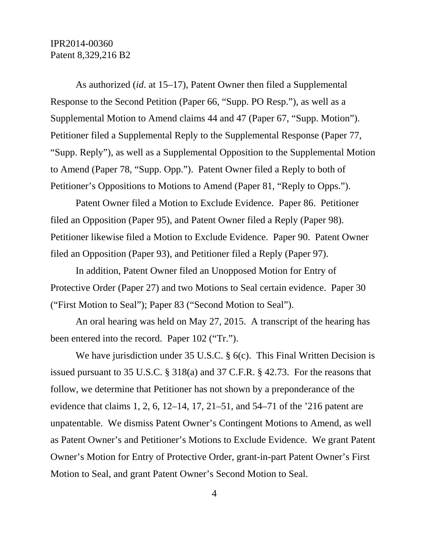As authorized (*id*. at 15–17), Patent Owner then filed a Supplemental Response to the Second Petition (Paper 66, "Supp. PO Resp."), as well as a Supplemental Motion to Amend claims 44 and 47 (Paper 67, "Supp. Motion"). Petitioner filed a Supplemental Reply to the Supplemental Response (Paper 77, "Supp. Reply"), as well as a Supplemental Opposition to the Supplemental Motion to Amend (Paper 78, "Supp. Opp."). Patent Owner filed a Reply to both of Petitioner's Oppositions to Motions to Amend (Paper 81, "Reply to Opps.").

Patent Owner filed a Motion to Exclude Evidence. Paper 86. Petitioner filed an Opposition (Paper 95), and Patent Owner filed a Reply (Paper 98). Petitioner likewise filed a Motion to Exclude Evidence. Paper 90. Patent Owner filed an Opposition (Paper 93), and Petitioner filed a Reply (Paper 97).

In addition, Patent Owner filed an Unopposed Motion for Entry of Protective Order (Paper 27) and two Motions to Seal certain evidence. Paper 30 ("First Motion to Seal"); Paper 83 ("Second Motion to Seal").

An oral hearing was held on May 27, 2015. A transcript of the hearing has been entered into the record. Paper 102 ("Tr.").

We have jurisdiction under 35 U.S.C. § 6(c). This Final Written Decision is issued pursuant to 35 U.S.C. § 318(a) and 37 C.F.R. § 42.73. For the reasons that follow, we determine that Petitioner has not shown by a preponderance of the evidence that claims 1, 2, 6, 12–14, 17, 21–51, and 54–71 of the '216 patent are unpatentable. We dismiss Patent Owner's Contingent Motions to Amend, as well as Patent Owner's and Petitioner's Motions to Exclude Evidence. We grant Patent Owner's Motion for Entry of Protective Order, grant-in-part Patent Owner's First Motion to Seal, and grant Patent Owner's Second Motion to Seal.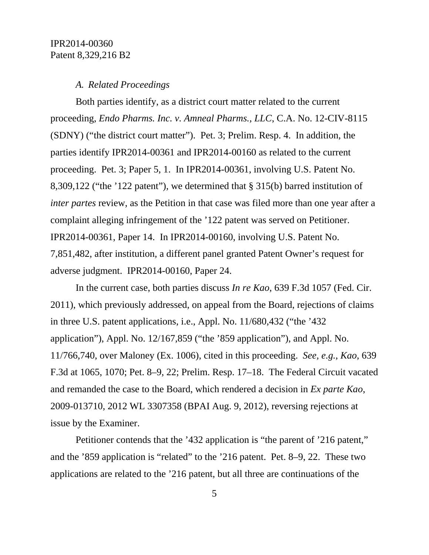#### *A. Related Proceedings*

Both parties identify, as a district court matter related to the current proceeding, *Endo Pharms. Inc. v. Amneal Pharms.*, *LLC*, C.A. No. 12-CIV-8115 (SDNY) ("the district court matter"). Pet. 3; Prelim. Resp. 4. In addition, the parties identify IPR2014-00361 and IPR2014-00160 as related to the current proceeding. Pet. 3; Paper 5, 1. In IPR2014-00361, involving U.S. Patent No. 8,309,122 ("the '122 patent"), we determined that § 315(b) barred institution of *inter partes* review, as the Petition in that case was filed more than one year after a complaint alleging infringement of the '122 patent was served on Petitioner. IPR2014-00361, Paper 14. In IPR2014-00160, involving U.S. Patent No. 7,851,482, after institution, a different panel granted Patent Owner's request for adverse judgment. IPR2014-00160, Paper 24.

In the current case, both parties discuss *In re Kao*, 639 F.3d 1057 (Fed. Cir. 2011), which previously addressed, on appeal from the Board, rejections of claims in three U.S. patent applications, i.e., Appl. No. 11/680,432 ("the '432 application"), Appl. No. 12/167,859 ("the '859 application"), and Appl. No. 11/766,740, over Maloney (Ex. 1006), cited in this proceeding. *See, e.g.*, *Kao*, 639 F.3d at 1065, 1070; Pet. 8–9, 22; Prelim. Resp. 17–18. The Federal Circuit vacated and remanded the case to the Board, which rendered a decision in *Ex parte Kao*, 2009-013710, 2012 WL 3307358 (BPAI Aug. 9, 2012), reversing rejections at issue by the Examiner.

Petitioner contends that the '432 application is "the parent of '216 patent," and the '859 application is "related" to the '216 patent. Pet. 8–9, 22. These two applications are related to the '216 patent, but all three are continuations of the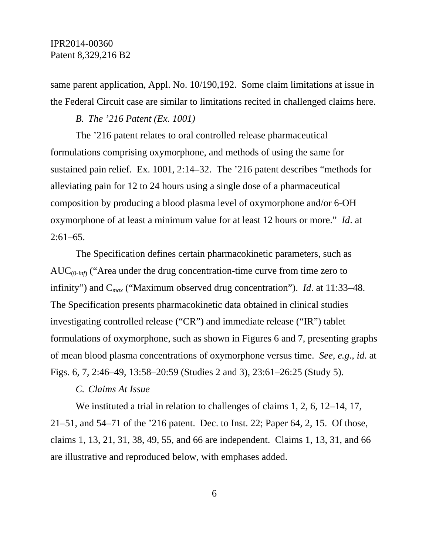same parent application, Appl. No. 10/190,192. Some claim limitations at issue in the Federal Circuit case are similar to limitations recited in challenged claims here.

#### *B. The '216 Patent (Ex. 1001)*

The '216 patent relates to oral controlled release pharmaceutical formulations comprising oxymorphone, and methods of using the same for sustained pain relief. Ex. 1001, 2:14–32. The '216 patent describes "methods for alleviating pain for 12 to 24 hours using a single dose of a pharmaceutical composition by producing a blood plasma level of oxymorphone and/or 6-OH oxymorphone of at least a minimum value for at least 12 hours or more." *Id*. at  $2:61-65$ .

The Specification defines certain pharmacokinetic parameters, such as AUC(0-*inf*) ("Area under the drug concentration-time curve from time zero to infinity") and C*max* ("Maximum observed drug concentration"). *Id*. at 11:33–48. The Specification presents pharmacokinetic data obtained in clinical studies investigating controlled release ("CR") and immediate release ("IR") tablet formulations of oxymorphone, such as shown in Figures 6 and 7, presenting graphs of mean blood plasma concentrations of oxymorphone versus time. *See, e.g.*, *id*. at Figs. 6, 7, 2:46–49, 13:58–20:59 (Studies 2 and 3), 23:61–26:25 (Study 5).

### *C. Claims At Issue*

We instituted a trial in relation to challenges of claims 1, 2, 6, 12–14, 17, 21–51, and 54–71 of the '216 patent. Dec. to Inst. 22; Paper 64, 2, 15. Of those, claims 1, 13, 21, 31, 38, 49, 55, and 66 are independent. Claims 1, 13, 31, and 66 are illustrative and reproduced below, with emphases added.

6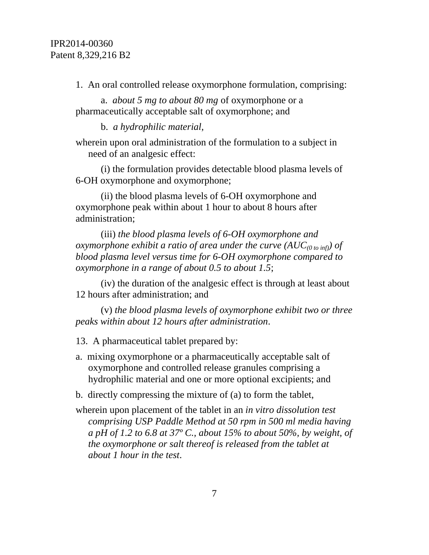1. An oral controlled release oxymorphone formulation, comprising:

a. *about 5 mg to about 80 mg* of oxymorphone or a pharmaceutically acceptable salt of oxymorphone; and

b. *a hydrophilic material*,

wherein upon oral administration of the formulation to a subject in need of an analgesic effect:

(i) the formulation provides detectable blood plasma levels of 6-OH oxymorphone and oxymorphone;

(ii) the blood plasma levels of 6-OH oxymorphone and oxymorphone peak within about 1 hour to about 8 hours after administration;

(iii) *the blood plasma levels of 6-OH oxymorphone and oxymorphone exhibit a ratio of area under the curve*  $(AUC_{(0 \text{ to inf})})$  *of blood plasma level versus time for 6-OH oxymorphone compared to oxymorphone in a range of about 0.5 to about 1.5*;

(iv) the duration of the analgesic effect is through at least about 12 hours after administration; and

(v) *the blood plasma levels of oxymorphone exhibit two or three peaks within about 12 hours after administration*.

13. A pharmaceutical tablet prepared by:

- a. mixing oxymorphone or a pharmaceutically acceptable salt of oxymorphone and controlled release granules comprising a hydrophilic material and one or more optional excipients; and
- b. directly compressing the mixture of (a) to form the tablet,

wherein upon placement of the tablet in an *in vitro dissolution test comprising USP Paddle Method at 50 rpm in 500 ml media having a pH of 1.2 to 6.8 at 37º C., about 15% to about 50%, by weight, of the oxymorphone or salt thereof is released from the tablet at about 1 hour in the test*.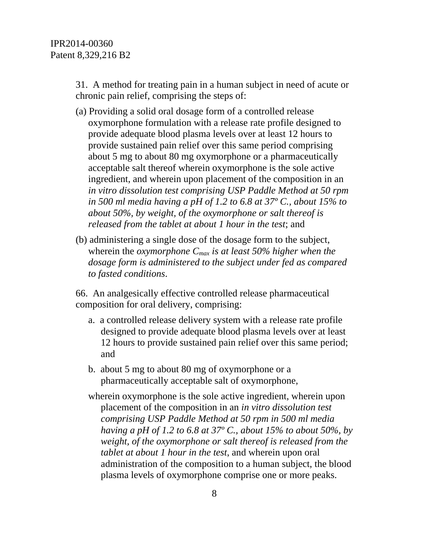31. A method for treating pain in a human subject in need of acute or chronic pain relief, comprising the steps of:

- (a) Providing a solid oral dosage form of a controlled release oxymorphone formulation with a release rate profile designed to provide adequate blood plasma levels over at least 12 hours to provide sustained pain relief over this same period comprising about 5 mg to about 80 mg oxymorphone or a pharmaceutically acceptable salt thereof wherein oxymorphone is the sole active ingredient, and wherein upon placement of the composition in an *in vitro dissolution test comprising USP Paddle Method at 50 rpm in 500 ml media having a pH of 1.2 to 6.8 at 37º C., about 15% to about 50%, by weight, of the oxymorphone or salt thereof is released from the tablet at about 1 hour in the test*; and
- (b) administering a single dose of the dosage form to the subject, wherein the *oxymorphone Cmax is at least 50% higher when the dosage form is administered to the subject under fed as compared to fasted conditions*.

66. An analgesically effective controlled release pharmaceutical composition for oral delivery, comprising:

- a. a controlled release delivery system with a release rate profile designed to provide adequate blood plasma levels over at least 12 hours to provide sustained pain relief over this same period; and
- b. about 5 mg to about 80 mg of oxymorphone or a pharmaceutically acceptable salt of oxymorphone,
- wherein oxymorphone is the sole active ingredient, wherein upon placement of the composition in an *in vitro dissolution test comprising USP Paddle Method at 50 rpm in 500 ml media having a pH of 1.2 to 6.8 at 37º C., about 15% to about 50%, by weight, of the oxymorphone or salt thereof is released from the tablet at about 1 hour in the test*, and wherein upon oral administration of the composition to a human subject, the blood plasma levels of oxymorphone comprise one or more peaks.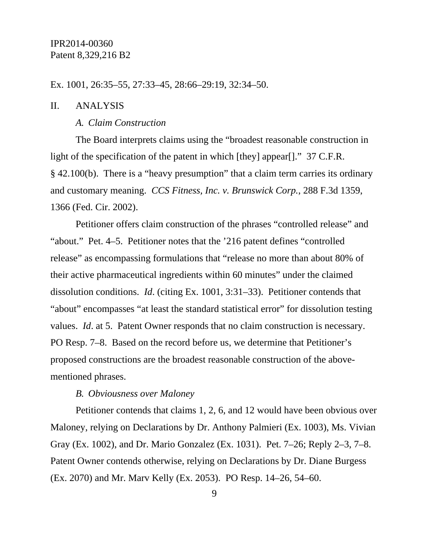Ex. 1001, 26:35–55, 27:33–45, 28:66–29:19, 32:34–50.

### II. ANALYSIS

#### *A. Claim Construction*

The Board interprets claims using the "broadest reasonable construction in light of the specification of the patent in which [they] appear[]." 37 C.F.R. § 42.100(b). There is a "heavy presumption" that a claim term carries its ordinary and customary meaning. *CCS Fitness, Inc. v. Brunswick Corp.*, 288 F.3d 1359, 1366 (Fed. Cir. 2002).

Petitioner offers claim construction of the phrases "controlled release" and "about." Pet. 4–5. Petitioner notes that the '216 patent defines "controlled release" as encompassing formulations that "release no more than about 80% of their active pharmaceutical ingredients within 60 minutes" under the claimed dissolution conditions. *Id*. (citing Ex. 1001, 3:31–33). Petitioner contends that "about" encompasses "at least the standard statistical error" for dissolution testing values. *Id*. at 5. Patent Owner responds that no claim construction is necessary. PO Resp. 7–8. Based on the record before us, we determine that Petitioner's proposed constructions are the broadest reasonable construction of the abovementioned phrases.

#### *B. Obviousness over Maloney*

Petitioner contends that claims 1, 2, 6, and 12 would have been obvious over Maloney, relying on Declarations by Dr. Anthony Palmieri (Ex. 1003), Ms. Vivian Gray (Ex. 1002), and Dr. Mario Gonzalez (Ex. 1031). Pet. 7–26; Reply 2–3, 7–8. Patent Owner contends otherwise, relying on Declarations by Dr. Diane Burgess (Ex. 2070) and Mr. Marv Kelly (Ex. 2053). PO Resp. 14–26, 54–60.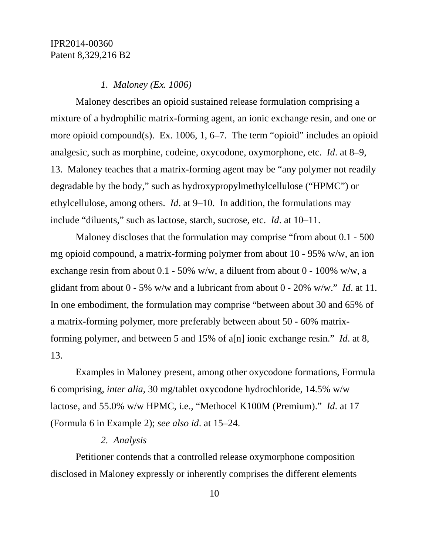### *1. Maloney (Ex. 1006)*

Maloney describes an opioid sustained release formulation comprising a mixture of a hydrophilic matrix-forming agent, an ionic exchange resin, and one or more opioid compound(s). Ex. 1006, 1, 6–7. The term "opioid" includes an opioid analgesic, such as morphine, codeine, oxycodone, oxymorphone, etc. *Id*. at 8–9, 13. Maloney teaches that a matrix-forming agent may be "any polymer not readily degradable by the body," such as hydroxypropylmethylcellulose ("HPMC") or ethylcellulose, among others. *Id*. at 9–10. In addition, the formulations may include "diluents," such as lactose, starch, sucrose, etc. *Id*. at 10–11.

Maloney discloses that the formulation may comprise "from about 0.1 - 500 mg opioid compound, a matrix-forming polymer from about 10 - 95% w/w, an ion exchange resin from about 0.1 - 50% w/w, a diluent from about 0 - 100% w/w, a glidant from about 0 - 5% w/w and a lubricant from about 0 - 20% w/w." *Id*. at 11. In one embodiment, the formulation may comprise "between about 30 and 65% of a matrix-forming polymer, more preferably between about 50 - 60% matrixforming polymer, and between 5 and 15% of a[n] ionic exchange resin." *Id*. at 8, 13.

Examples in Maloney present, among other oxycodone formations, Formula 6 comprising, *inter alia*, 30 mg/tablet oxycodone hydrochloride, 14.5% w/w lactose, and 55.0% w/w HPMC, i.e., "Methocel K100M (Premium)." *Id*. at 17 (Formula 6 in Example 2); *see also id*. at 15–24.

#### *2. Analysis*

Petitioner contends that a controlled release oxymorphone composition disclosed in Maloney expressly or inherently comprises the different elements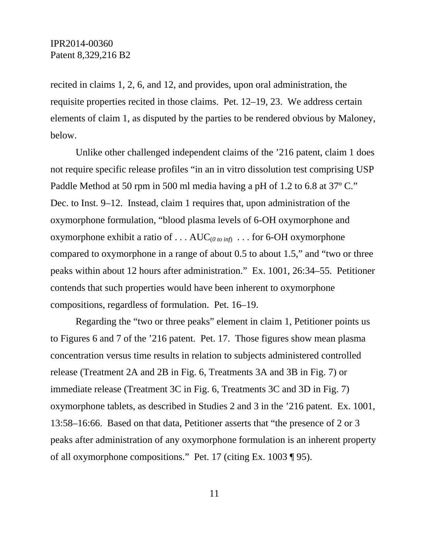recited in claims 1, 2, 6, and 12, and provides, upon oral administration, the requisite properties recited in those claims. Pet. 12–19, 23. We address certain elements of claim 1, as disputed by the parties to be rendered obvious by Maloney, below.

Unlike other challenged independent claims of the '216 patent, claim 1 does not require specific release profiles "in an in vitro dissolution test comprising USP Paddle Method at 50 rpm in 500 ml media having a pH of 1.2 to 6.8 at 37º C." Dec. to Inst. 9–12. Instead, claim 1 requires that, upon administration of the oxymorphone formulation, "blood plasma levels of 6-OH oxymorphone and oxymorphone exhibit a ratio of . . .  $AUC_{(0\text{ to inf})}$  . . . for 6-OH oxymorphone compared to oxymorphone in a range of about 0.5 to about 1.5," and "two or three peaks within about 12 hours after administration." Ex. 1001, 26:34–55. Petitioner contends that such properties would have been inherent to oxymorphone compositions, regardless of formulation. Pet. 16–19.

Regarding the "two or three peaks" element in claim 1, Petitioner points us to Figures 6 and 7 of the '216 patent. Pet. 17. Those figures show mean plasma concentration versus time results in relation to subjects administered controlled release (Treatment 2A and 2B in Fig. 6, Treatments 3A and 3B in Fig. 7) or immediate release (Treatment 3C in Fig. 6, Treatments 3C and 3D in Fig. 7) oxymorphone tablets, as described in Studies 2 and 3 in the '216 patent. Ex. 1001, 13:58–16:66. Based on that data, Petitioner asserts that "the presence of 2 or 3 peaks after administration of any oxymorphone formulation is an inherent property of all oxymorphone compositions." Pet. 17 (citing Ex. 1003 ¶ 95).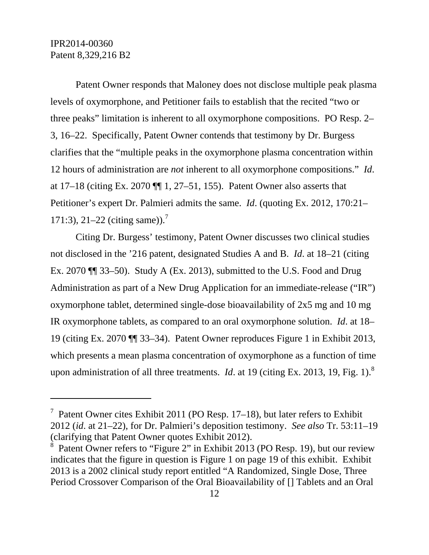$\overline{a}$ 

Patent Owner responds that Maloney does not disclose multiple peak plasma levels of oxymorphone, and Petitioner fails to establish that the recited "two or three peaks" limitation is inherent to all oxymorphone compositions. PO Resp. 2– 3, 16–22. Specifically, Patent Owner contends that testimony by Dr. Burgess clarifies that the "multiple peaks in the oxymorphone plasma concentration within 12 hours of administration are *not* inherent to all oxymorphone compositions." *Id*. at  $17-18$  (citing Ex. 2070  $\P\P$  1, 27–51, 155). Patent Owner also asserts that Petitioner's expert Dr. Palmieri admits the same. *Id*. (quoting Ex. 2012, 170:21– 171:3), 21–22 (citing same)).<sup>7</sup>

Citing Dr. Burgess' testimony, Patent Owner discusses two clinical studies not disclosed in the '216 patent, designated Studies A and B. *Id*. at 18–21 (citing Ex. 2070 ¶¶ 33–50). Study A (Ex. 2013), submitted to the U.S. Food and Drug Administration as part of a New Drug Application for an immediate-release ("IR") oxymorphone tablet, determined single-dose bioavailability of 2x5 mg and 10 mg IR oxymorphone tablets, as compared to an oral oxymorphone solution. *Id*. at 18– 19 (citing Ex. 2070 ¶¶ 33–34). Patent Owner reproduces Figure 1 in Exhibit 2013, which presents a mean plasma concentration of oxymorphone as a function of time upon administration of all three treatments. *Id.* at 19 (citing Ex. 2013, 19, Fig. 1).<sup>8</sup>

<sup>&</sup>lt;sup>7</sup> Patent Owner cites Exhibit 2011 (PO Resp. 17–18), but later refers to Exhibit 2012 (*id*. at 21–22), for Dr. Palmieri's deposition testimony. *See also* Tr. 53:11–19 (clarifying that Patent Owner quotes Exhibit 2012).

<sup>8</sup> Patent Owner refers to "Figure 2" in Exhibit 2013 (PO Resp. 19), but our review indicates that the figure in question is Figure 1 on page 19 of this exhibit. Exhibit 2013 is a 2002 clinical study report entitled "A Randomized, Single Dose, Three Period Crossover Comparison of the Oral Bioavailability of [] Tablets and an Oral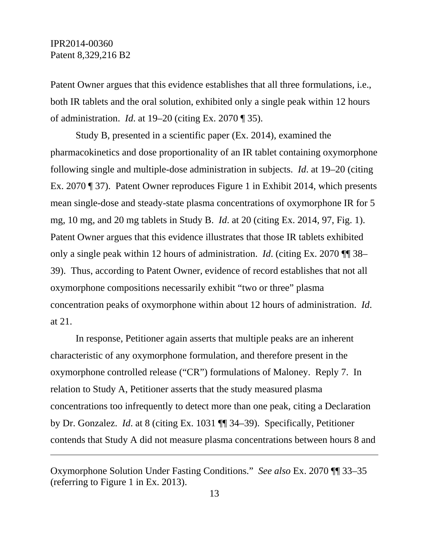-

Patent Owner argues that this evidence establishes that all three formulations, i.e., both IR tablets and the oral solution, exhibited only a single peak within 12 hours of administration. *Id*. at 19–20 (citing Ex. 2070 ¶ 35).

Study B, presented in a scientific paper (Ex. 2014), examined the pharmacokinetics and dose proportionality of an IR tablet containing oxymorphone following single and multiple-dose administration in subjects. *Id*. at 19–20 (citing Ex. 2070 ¶ 37). Patent Owner reproduces Figure 1 in Exhibit 2014, which presents mean single-dose and steady-state plasma concentrations of oxymorphone IR for 5 mg, 10 mg, and 20 mg tablets in Study B. *Id*. at 20 (citing Ex. 2014, 97, Fig. 1). Patent Owner argues that this evidence illustrates that those IR tablets exhibited only a single peak within 12 hours of administration. *Id*. (citing Ex. 2070 ¶¶ 38– 39). Thus, according to Patent Owner, evidence of record establishes that not all oxymorphone compositions necessarily exhibit "two or three" plasma concentration peaks of oxymorphone within about 12 hours of administration. *Id*. at 21.

In response, Petitioner again asserts that multiple peaks are an inherent characteristic of any oxymorphone formulation, and therefore present in the oxymorphone controlled release ("CR") formulations of Maloney. Reply 7. In relation to Study A, Petitioner asserts that the study measured plasma concentrations too infrequently to detect more than one peak, citing a Declaration by Dr. Gonzalez. *Id*. at 8 (citing Ex. 1031 ¶¶ 34–39). Specifically, Petitioner contends that Study A did not measure plasma concentrations between hours 8 and

Oxymorphone Solution Under Fasting Conditions." *See also* Ex. 2070 ¶¶ 33–35 (referring to Figure 1 in Ex. 2013).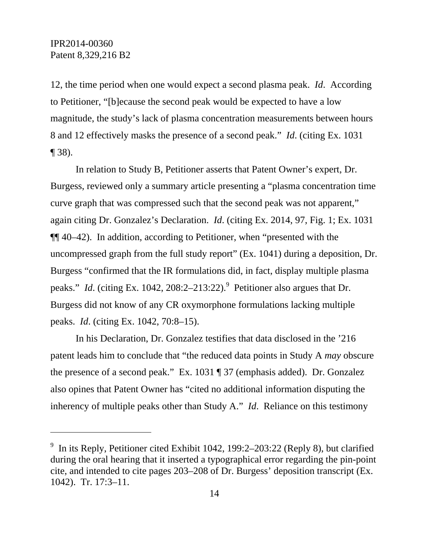l

12, the time period when one would expect a second plasma peak. *Id*. According to Petitioner, "[b]ecause the second peak would be expected to have a low magnitude, the study's lack of plasma concentration measurements between hours 8 and 12 effectively masks the presence of a second peak." *Id*. (citing Ex. 1031  $\P$  38).

In relation to Study B, Petitioner asserts that Patent Owner's expert, Dr. Burgess, reviewed only a summary article presenting a "plasma concentration time curve graph that was compressed such that the second peak was not apparent," again citing Dr. Gonzalez's Declaration. *Id*. (citing Ex. 2014, 97, Fig. 1; Ex. 1031 ¶¶ 40–42). In addition, according to Petitioner, when "presented with the uncompressed graph from the full study report" (Ex. 1041) during a deposition, Dr. Burgess "confirmed that the IR formulations did, in fact, display multiple plasma peaks." *Id.* (citing Ex. 1042, 208:2–213:22). Petitioner also argues that Dr. Burgess did not know of any CR oxymorphone formulations lacking multiple peaks. *Id*. (citing Ex. 1042, 70:8–15).

In his Declaration, Dr. Gonzalez testifies that data disclosed in the '216 patent leads him to conclude that "the reduced data points in Study A *may* obscure the presence of a second peak." Ex. 1031 ¶ 37 (emphasis added). Dr. Gonzalez also opines that Patent Owner has "cited no additional information disputing the inherency of multiple peaks other than Study A." *Id*. Reliance on this testimony

<sup>9</sup> In its Reply, Petitioner cited Exhibit 1042, 199:2–203:22 (Reply 8), but clarified during the oral hearing that it inserted a typographical error regarding the pin-point cite, and intended to cite pages 203–208 of Dr. Burgess' deposition transcript (Ex. 1042). Tr. 17:3–11.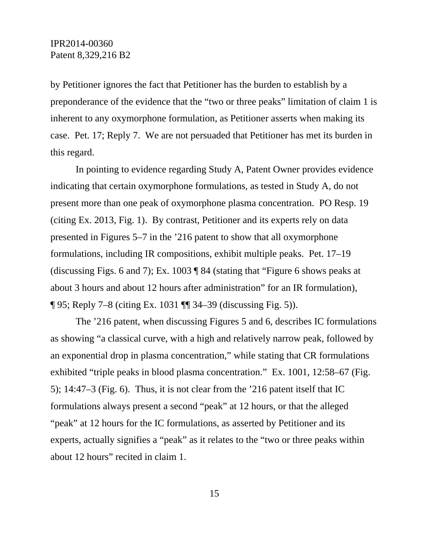by Petitioner ignores the fact that Petitioner has the burden to establish by a preponderance of the evidence that the "two or three peaks" limitation of claim 1 is inherent to any oxymorphone formulation, as Petitioner asserts when making its case. Pet. 17; Reply 7. We are not persuaded that Petitioner has met its burden in this regard.

In pointing to evidence regarding Study A, Patent Owner provides evidence indicating that certain oxymorphone formulations, as tested in Study A, do not present more than one peak of oxymorphone plasma concentration. PO Resp. 19 (citing Ex. 2013, Fig. 1). By contrast, Petitioner and its experts rely on data presented in Figures 5–7 in the '216 patent to show that all oxymorphone formulations, including IR compositions, exhibit multiple peaks. Pet. 17–19 (discussing Figs. 6 and 7); Ex. 1003 ¶ 84 (stating that "Figure 6 shows peaks at about 3 hours and about 12 hours after administration" for an IR formulation), ¶ 95; Reply 7–8 (citing Ex. 1031 ¶¶ 34–39 (discussing Fig. 5)).

The '216 patent, when discussing Figures 5 and 6, describes IC formulations as showing "a classical curve, with a high and relatively narrow peak, followed by an exponential drop in plasma concentration," while stating that CR formulations exhibited "triple peaks in blood plasma concentration." Ex. 1001, 12:58–67 (Fig. 5); 14:47–3 (Fig. 6). Thus, it is not clear from the '216 patent itself that IC formulations always present a second "peak" at 12 hours, or that the alleged "peak" at 12 hours for the IC formulations, as asserted by Petitioner and its experts, actually signifies a "peak" as it relates to the "two or three peaks within about 12 hours" recited in claim 1.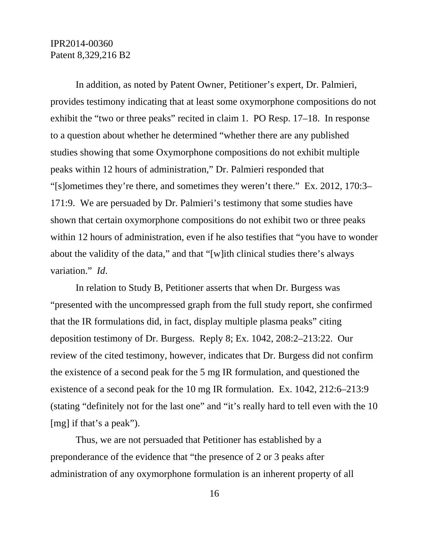In addition, as noted by Patent Owner, Petitioner's expert, Dr. Palmieri, provides testimony indicating that at least some oxymorphone compositions do not exhibit the "two or three peaks" recited in claim 1. PO Resp. 17–18. In response to a question about whether he determined "whether there are any published studies showing that some Oxymorphone compositions do not exhibit multiple peaks within 12 hours of administration," Dr. Palmieri responded that "[s]ometimes they're there, and sometimes they weren't there." Ex. 2012, 170:3– 171:9. We are persuaded by Dr. Palmieri's testimony that some studies have shown that certain oxymorphone compositions do not exhibit two or three peaks within 12 hours of administration, even if he also testifies that "you have to wonder about the validity of the data," and that "[w]ith clinical studies there's always variation." *Id*.

In relation to Study B, Petitioner asserts that when Dr. Burgess was "presented with the uncompressed graph from the full study report, she confirmed that the IR formulations did, in fact, display multiple plasma peaks" citing deposition testimony of Dr. Burgess. Reply 8; Ex. 1042, 208:2–213:22. Our review of the cited testimony, however, indicates that Dr. Burgess did not confirm the existence of a second peak for the 5 mg IR formulation, and questioned the existence of a second peak for the 10 mg IR formulation. Ex. 1042, 212:6–213:9 (stating "definitely not for the last one" and "it's really hard to tell even with the 10 [mg] if that's a peak").

Thus, we are not persuaded that Petitioner has established by a preponderance of the evidence that "the presence of 2 or 3 peaks after administration of any oxymorphone formulation is an inherent property of all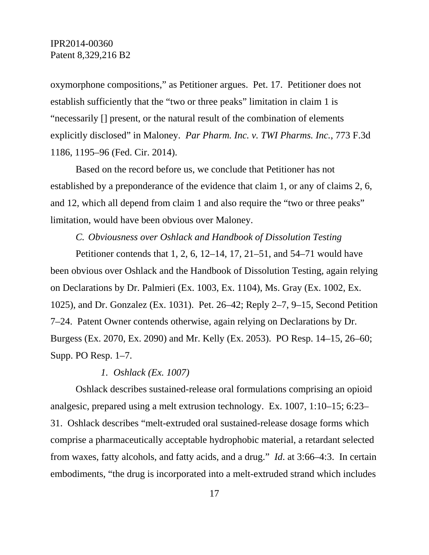oxymorphone compositions," as Petitioner argues. Pet. 17. Petitioner does not establish sufficiently that the "two or three peaks" limitation in claim 1 is "necessarily [] present, or the natural result of the combination of elements explicitly disclosed" in Maloney. *Par Pharm. Inc. v. TWI Pharms. Inc.*, 773 F.3d 1186, 1195–96 (Fed. Cir. 2014).

Based on the record before us, we conclude that Petitioner has not established by a preponderance of the evidence that claim 1, or any of claims 2, 6, and 12, which all depend from claim 1 and also require the "two or three peaks" limitation, would have been obvious over Maloney.

### *C. Obviousness over Oshlack and Handbook of Dissolution Testing*

Petitioner contends that 1, 2, 6, 12–14, 17, 21–51, and 54–71 would have been obvious over Oshlack and the Handbook of Dissolution Testing, again relying on Declarations by Dr. Palmieri (Ex. 1003, Ex. 1104), Ms. Gray (Ex. 1002, Ex. 1025), and Dr. Gonzalez (Ex. 1031). Pet. 26–42; Reply 2–7, 9–15, Second Petition 7–24. Patent Owner contends otherwise, again relying on Declarations by Dr. Burgess (Ex. 2070, Ex. 2090) and Mr. Kelly (Ex. 2053). PO Resp. 14–15, 26–60; Supp. PO Resp. 1–7.

### *1. Oshlack (Ex. 1007)*

Oshlack describes sustained-release oral formulations comprising an opioid analgesic, prepared using a melt extrusion technology. Ex. 1007, 1:10–15; 6:23– 31. Oshlack describes "melt-extruded oral sustained-release dosage forms which comprise a pharmaceutically acceptable hydrophobic material, a retardant selected from waxes, fatty alcohols, and fatty acids, and a drug." *Id*. at 3:66–4:3. In certain embodiments, "the drug is incorporated into a melt-extruded strand which includes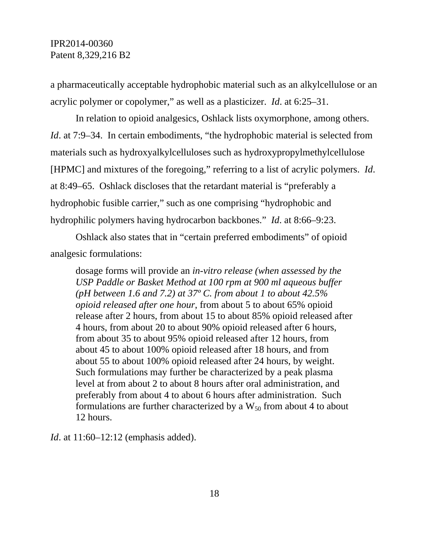a pharmaceutically acceptable hydrophobic material such as an alkylcellulose or an acrylic polymer or copolymer," as well as a plasticizer. *Id*. at 6:25–31.

In relation to opioid analgesics, Oshlack lists oxymorphone, among others. *Id.* at 7:9–34. In certain embodiments, "the hydrophobic material is selected from materials such as hydroxyalkylcelluloses such as hydroxypropylmethylcellulose [HPMC] and mixtures of the foregoing," referring to a list of acrylic polymers. *Id*. at 8:49–65. Oshlack discloses that the retardant material is "preferably a hydrophobic fusible carrier," such as one comprising "hydrophobic and hydrophilic polymers having hydrocarbon backbones." *Id*. at 8:66–9:23.

Oshlack also states that in "certain preferred embodiments" of opioid analgesic formulations:

dosage forms will provide an *in-vitro release (when assessed by the USP Paddle or Basket Method at 100 rpm at 900 ml aqueous buffer (pH between 1.6 and 7.2) at 37º C. from about 1 to about 42.5% opioid released after one hour*, from about 5 to about 65% opioid release after 2 hours, from about 15 to about 85% opioid released after 4 hours, from about 20 to about 90% opioid released after 6 hours, from about 35 to about 95% opioid released after 12 hours, from about 45 to about 100% opioid released after 18 hours, and from about 55 to about 100% opioid released after 24 hours, by weight. Such formulations may further be characterized by a peak plasma level at from about 2 to about 8 hours after oral administration, and preferably from about 4 to about 6 hours after administration. Such formulations are further characterized by a  $W_{50}$  from about 4 to about 12 hours.

*Id.* at 11:60–12:12 (emphasis added).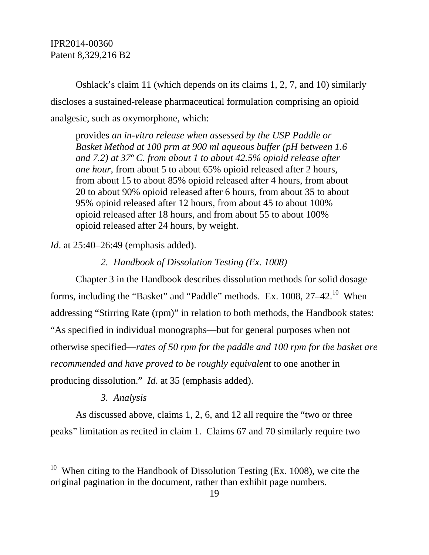Oshlack's claim 11 (which depends on its claims 1, 2, 7, and 10) similarly discloses a sustained-release pharmaceutical formulation comprising an opioid analgesic, such as oxymorphone, which:

provides *an in-vitro release when assessed by the USP Paddle or Basket Method at 100 prm at 900 ml aqueous buffer (pH between 1.6 and 7.2) at 37º C. from about 1 to about 42.5% opioid release after one hour*, from about 5 to about 65% opioid released after 2 hours, from about 15 to about 85% opioid released after 4 hours, from about 20 to about 90% opioid released after 6 hours, from about 35 to about 95% opioid released after 12 hours, from about 45 to about 100% opioid released after 18 hours, and from about 55 to about 100% opioid released after 24 hours, by weight.

*Id.* at 25:40–26:49 (emphasis added).

*2. Handbook of Dissolution Testing (Ex. 1008)* 

Chapter 3 in the Handbook describes dissolution methods for solid dosage forms, including the "Basket" and "Paddle" methods. Ex. 1008, 27-42.<sup>10</sup> When addressing "Stirring Rate (rpm)" in relation to both methods, the Handbook states: "As specified in individual monographs—but for general purposes when not otherwise specified—*rates of 50 rpm for the paddle and 100 rpm for the basket are recommended and have proved to be roughly equivalent* to one another in producing dissolution." *Id*. at 35 (emphasis added).

### *3. Analysis*

-

As discussed above, claims 1, 2, 6, and 12 all require the "two or three peaks" limitation as recited in claim 1. Claims 67 and 70 similarly require two

<sup>&</sup>lt;sup>10</sup> When citing to the Handbook of Dissolution Testing (Ex. 1008), we cite the original pagination in the document, rather than exhibit page numbers.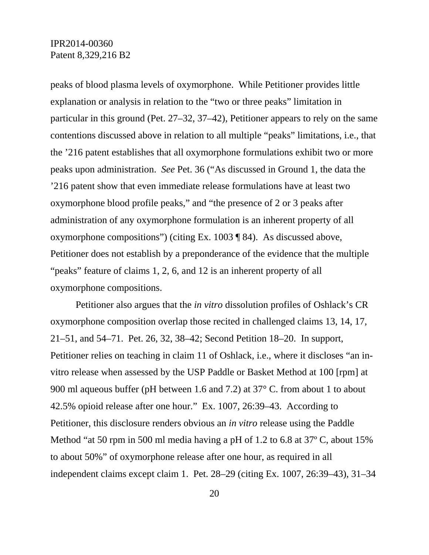peaks of blood plasma levels of oxymorphone. While Petitioner provides little explanation or analysis in relation to the "two or three peaks" limitation in particular in this ground (Pet. 27–32, 37–42), Petitioner appears to rely on the same contentions discussed above in relation to all multiple "peaks" limitations, i.e., that the '216 patent establishes that all oxymorphone formulations exhibit two or more peaks upon administration. *See* Pet. 36 ("As discussed in Ground 1, the data the '216 patent show that even immediate release formulations have at least two oxymorphone blood profile peaks," and "the presence of 2 or 3 peaks after administration of any oxymorphone formulation is an inherent property of all oxymorphone compositions") (citing Ex. 1003 ¶ 84). As discussed above, Petitioner does not establish by a preponderance of the evidence that the multiple "peaks" feature of claims 1, 2, 6, and 12 is an inherent property of all oxymorphone compositions.

Petitioner also argues that the *in vitro* dissolution profiles of Oshlack's CR oxymorphone composition overlap those recited in challenged claims 13, 14, 17, 21–51, and 54–71. Pet. 26, 32, 38–42; Second Petition 18–20. In support, Petitioner relies on teaching in claim 11 of Oshlack, i.e., where it discloses "an invitro release when assessed by the USP Paddle or Basket Method at 100 [rpm] at 900 ml aqueous buffer (pH between 1.6 and 7.2) at 37° C. from about 1 to about 42.5% opioid release after one hour." Ex. 1007, 26:39–43. According to Petitioner, this disclosure renders obvious an *in vitro* release using the Paddle Method "at 50 rpm in 500 ml media having a pH of 1.2 to 6.8 at 37º C, about 15% to about 50%" of oxymorphone release after one hour, as required in all independent claims except claim 1. Pet. 28–29 (citing Ex. 1007, 26:39–43), 31–34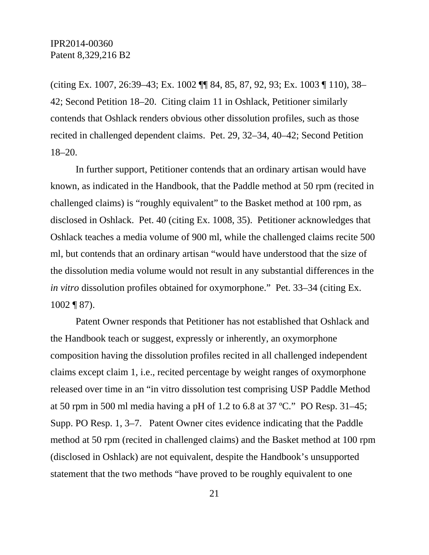(citing Ex. 1007, 26:39–43; Ex. 1002 ¶¶ 84, 85, 87, 92, 93; Ex. 1003 ¶ 110), 38– 42; Second Petition 18–20. Citing claim 11 in Oshlack, Petitioner similarly contends that Oshlack renders obvious other dissolution profiles, such as those recited in challenged dependent claims. Pet. 29, 32–34, 40–42; Second Petition 18–20.

In further support, Petitioner contends that an ordinary artisan would have known, as indicated in the Handbook, that the Paddle method at 50 rpm (recited in challenged claims) is "roughly equivalent" to the Basket method at 100 rpm, as disclosed in Oshlack. Pet. 40 (citing Ex. 1008, 35). Petitioner acknowledges that Oshlack teaches a media volume of 900 ml, while the challenged claims recite 500 ml, but contends that an ordinary artisan "would have understood that the size of the dissolution media volume would not result in any substantial differences in the *in vitro* dissolution profiles obtained for oxymorphone." Pet. 33–34 (citing Ex. 1002 ¶ 87).

Patent Owner responds that Petitioner has not established that Oshlack and the Handbook teach or suggest, expressly or inherently, an oxymorphone composition having the dissolution profiles recited in all challenged independent claims except claim 1, i.e., recited percentage by weight ranges of oxymorphone released over time in an "in vitro dissolution test comprising USP Paddle Method at 50 rpm in 500 ml media having a pH of 1.2 to 6.8 at 37 ºC." PO Resp. 31–45; Supp. PO Resp. 1, 3–7. Patent Owner cites evidence indicating that the Paddle method at 50 rpm (recited in challenged claims) and the Basket method at 100 rpm (disclosed in Oshlack) are not equivalent, despite the Handbook's unsupported statement that the two methods "have proved to be roughly equivalent to one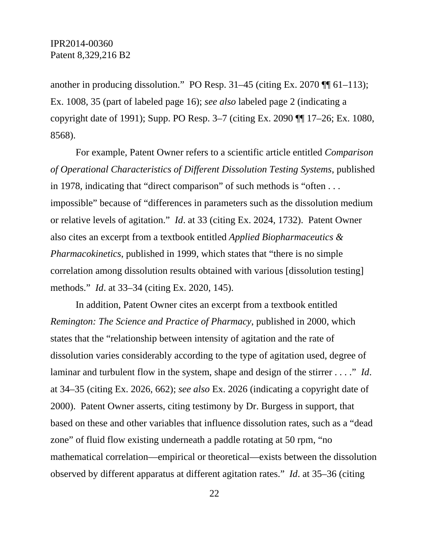another in producing dissolution." PO Resp.  $31-45$  (citing Ex. 2070  $\P$  $[61-113)$ ; Ex. 1008, 35 (part of labeled page 16); *see also* labeled page 2 (indicating a copyright date of 1991); Supp. PO Resp. 3–7 (citing Ex. 2090 ¶¶ 17–26; Ex. 1080, 8568).

For example, Patent Owner refers to a scientific article entitled *Comparison of Operational Characteristics of Different Dissolution Testing Systems*, published in 1978, indicating that "direct comparison" of such methods is "often . . . impossible" because of "differences in parameters such as the dissolution medium or relative levels of agitation." *Id*. at 33 (citing Ex. 2024, 1732). Patent Owner also cites an excerpt from a textbook entitled *Applied Biopharmaceutics & Pharmacokinetics*, published in 1999, which states that "there is no simple correlation among dissolution results obtained with various [dissolution testing] methods." *Id*. at 33–34 (citing Ex. 2020, 145).

In addition, Patent Owner cites an excerpt from a textbook entitled *Remington: The Science and Practice of Pharmacy*, published in 2000, which states that the "relationship between intensity of agitation and the rate of dissolution varies considerably according to the type of agitation used, degree of laminar and turbulent flow in the system, shape and design of the stirrer . . . ." *Id*. at 34–35 (citing Ex. 2026, 662); *see also* Ex. 2026 (indicating a copyright date of 2000). Patent Owner asserts, citing testimony by Dr. Burgess in support, that based on these and other variables that influence dissolution rates, such as a "dead zone" of fluid flow existing underneath a paddle rotating at 50 rpm, "no mathematical correlation—empirical or theoretical—exists between the dissolution observed by different apparatus at different agitation rates." *Id*. at 35–36 (citing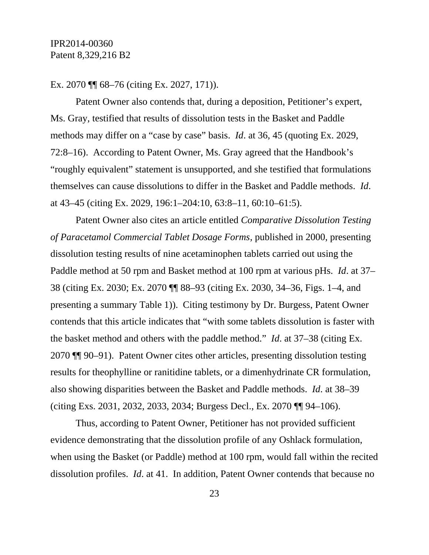### Ex. 2070 ¶¶ 68–76 (citing Ex. 2027, 171)).

Patent Owner also contends that, during a deposition, Petitioner's expert, Ms. Gray, testified that results of dissolution tests in the Basket and Paddle methods may differ on a "case by case" basis. *Id*. at 36, 45 (quoting Ex. 2029, 72:8–16). According to Patent Owner, Ms. Gray agreed that the Handbook's "roughly equivalent" statement is unsupported, and she testified that formulations themselves can cause dissolutions to differ in the Basket and Paddle methods. *Id*. at 43–45 (citing Ex. 2029, 196:1–204:10, 63:8–11, 60:10–61:5).

Patent Owner also cites an article entitled *Comparative Dissolution Testing of Paracetamol Commercial Tablet Dosage Forms*, published in 2000, presenting dissolution testing results of nine acetaminophen tablets carried out using the Paddle method at 50 rpm and Basket method at 100 rpm at various pHs. *Id*. at 37– 38 (citing Ex. 2030; Ex. 2070 ¶¶ 88–93 (citing Ex. 2030, 34–36, Figs. 1–4, and presenting a summary Table 1)). Citing testimony by Dr. Burgess, Patent Owner contends that this article indicates that "with some tablets dissolution is faster with the basket method and others with the paddle method." *Id*. at 37–38 (citing Ex. 2070 ¶¶ 90–91). Patent Owner cites other articles, presenting dissolution testing results for theophylline or ranitidine tablets, or a dimenhydrinate CR formulation, also showing disparities between the Basket and Paddle methods. *Id*. at 38–39 (citing Exs. 2031, 2032, 2033, 2034; Burgess Decl., Ex. 2070 ¶¶ 94–106).

Thus, according to Patent Owner, Petitioner has not provided sufficient evidence demonstrating that the dissolution profile of any Oshlack formulation, when using the Basket (or Paddle) method at 100 rpm, would fall within the recited dissolution profiles. *Id*. at 41. In addition, Patent Owner contends that because no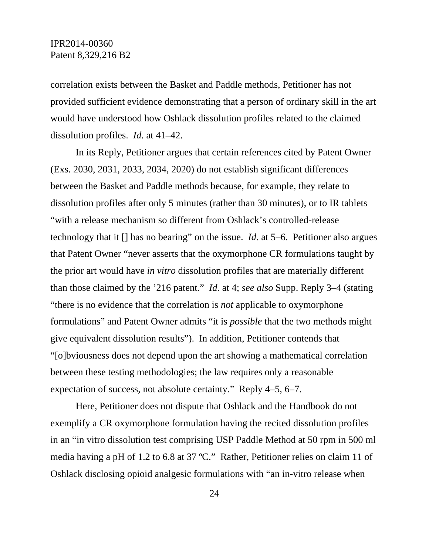correlation exists between the Basket and Paddle methods, Petitioner has not provided sufficient evidence demonstrating that a person of ordinary skill in the art would have understood how Oshlack dissolution profiles related to the claimed dissolution profiles. *Id*. at 41–42.

In its Reply, Petitioner argues that certain references cited by Patent Owner (Exs. 2030, 2031, 2033, 2034, 2020) do not establish significant differences between the Basket and Paddle methods because, for example, they relate to dissolution profiles after only 5 minutes (rather than 30 minutes), or to IR tablets "with a release mechanism so different from Oshlack's controlled-release technology that it [] has no bearing" on the issue. *Id*. at 5–6. Petitioner also argues that Patent Owner "never asserts that the oxymorphone CR formulations taught by the prior art would have *in vitro* dissolution profiles that are materially different than those claimed by the '216 patent." *Id*. at 4; *see also* Supp. Reply 3–4 (stating "there is no evidence that the correlation is *not* applicable to oxymorphone formulations" and Patent Owner admits "it is *possible* that the two methods might give equivalent dissolution results"). In addition, Petitioner contends that "[o]bviousness does not depend upon the art showing a mathematical correlation between these testing methodologies; the law requires only a reasonable expectation of success, not absolute certainty." Reply 4–5, 6–7.

Here, Petitioner does not dispute that Oshlack and the Handbook do not exemplify a CR oxymorphone formulation having the recited dissolution profiles in an "in vitro dissolution test comprising USP Paddle Method at 50 rpm in 500 ml media having a pH of 1.2 to 6.8 at 37 ºC." Rather, Petitioner relies on claim 11 of Oshlack disclosing opioid analgesic formulations with "an in-vitro release when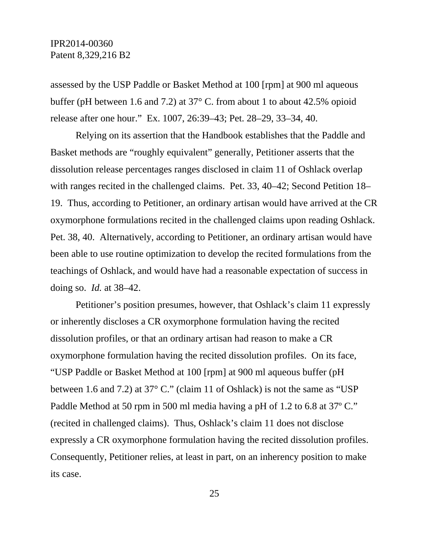assessed by the USP Paddle or Basket Method at 100 [rpm] at 900 ml aqueous buffer (pH between 1.6 and 7.2) at 37° C. from about 1 to about 42.5% opioid release after one hour." Ex. 1007, 26:39–43; Pet. 28–29, 33–34, 40.

Relying on its assertion that the Handbook establishes that the Paddle and Basket methods are "roughly equivalent" generally, Petitioner asserts that the dissolution release percentages ranges disclosed in claim 11 of Oshlack overlap with ranges recited in the challenged claims. Pet. 33, 40–42; Second Petition 18– 19. Thus, according to Petitioner, an ordinary artisan would have arrived at the CR oxymorphone formulations recited in the challenged claims upon reading Oshlack. Pet. 38, 40. Alternatively, according to Petitioner, an ordinary artisan would have been able to use routine optimization to develop the recited formulations from the teachings of Oshlack, and would have had a reasonable expectation of success in doing so. *Id.* at 38–42.

Petitioner's position presumes, however, that Oshlack's claim 11 expressly or inherently discloses a CR oxymorphone formulation having the recited dissolution profiles, or that an ordinary artisan had reason to make a CR oxymorphone formulation having the recited dissolution profiles. On its face, "USP Paddle or Basket Method at 100 [rpm] at 900 ml aqueous buffer (pH between 1.6 and 7.2) at 37° C." (claim 11 of Oshlack) is not the same as "USP Paddle Method at 50 rpm in 500 ml media having a pH of 1.2 to 6.8 at 37º C." (recited in challenged claims). Thus, Oshlack's claim 11 does not disclose expressly a CR oxymorphone formulation having the recited dissolution profiles. Consequently, Petitioner relies, at least in part, on an inherency position to make its case.

25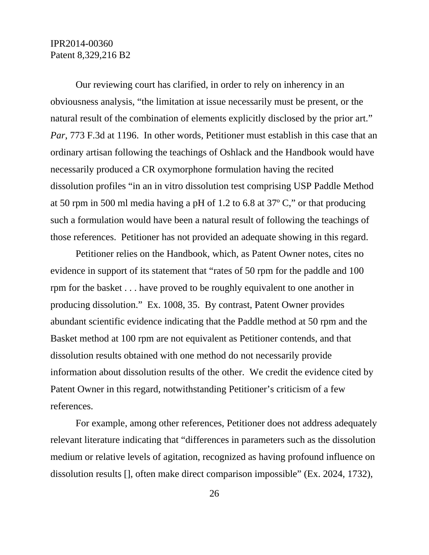Our reviewing court has clarified, in order to rely on inherency in an obviousness analysis, "the limitation at issue necessarily must be present, or the natural result of the combination of elements explicitly disclosed by the prior art." *Par*, 773 F.3d at 1196. In other words, Petitioner must establish in this case that an ordinary artisan following the teachings of Oshlack and the Handbook would have necessarily produced a CR oxymorphone formulation having the recited dissolution profiles "in an in vitro dissolution test comprising USP Paddle Method at 50 rpm in 500 ml media having a pH of 1.2 to 6.8 at 37º C," or that producing such a formulation would have been a natural result of following the teachings of those references. Petitioner has not provided an adequate showing in this regard.

Petitioner relies on the Handbook, which, as Patent Owner notes, cites no evidence in support of its statement that "rates of 50 rpm for the paddle and 100 rpm for the basket . . . have proved to be roughly equivalent to one another in producing dissolution." Ex. 1008, 35. By contrast, Patent Owner provides abundant scientific evidence indicating that the Paddle method at 50 rpm and the Basket method at 100 rpm are not equivalent as Petitioner contends, and that dissolution results obtained with one method do not necessarily provide information about dissolution results of the other. We credit the evidence cited by Patent Owner in this regard, notwithstanding Petitioner's criticism of a few references.

For example, among other references, Petitioner does not address adequately relevant literature indicating that "differences in parameters such as the dissolution medium or relative levels of agitation, recognized as having profound influence on dissolution results [], often make direct comparison impossible" (Ex. 2024, 1732),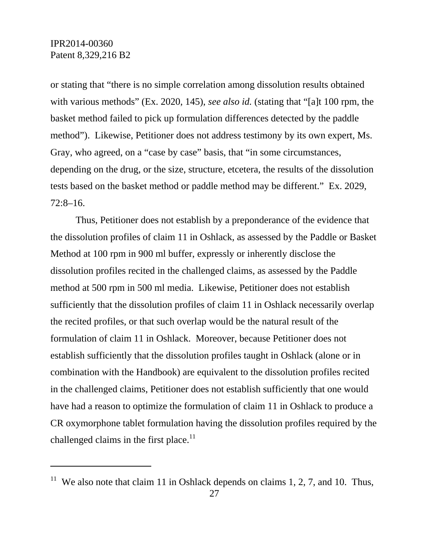$\overline{a}$ 

or stating that "there is no simple correlation among dissolution results obtained with various methods" (Ex. 2020, 145), *see also id.* (stating that "[a]t 100 rpm, the basket method failed to pick up formulation differences detected by the paddle method"). Likewise, Petitioner does not address testimony by its own expert, Ms. Gray, who agreed, on a "case by case" basis, that "in some circumstances, depending on the drug, or the size, structure, etcetera, the results of the dissolution tests based on the basket method or paddle method may be different." Ex. 2029, 72:8–16.

Thus, Petitioner does not establish by a preponderance of the evidence that the dissolution profiles of claim 11 in Oshlack, as assessed by the Paddle or Basket Method at 100 rpm in 900 ml buffer, expressly or inherently disclose the dissolution profiles recited in the challenged claims, as assessed by the Paddle method at 500 rpm in 500 ml media. Likewise, Petitioner does not establish sufficiently that the dissolution profiles of claim 11 in Oshlack necessarily overlap the recited profiles, or that such overlap would be the natural result of the formulation of claim 11 in Oshlack. Moreover, because Petitioner does not establish sufficiently that the dissolution profiles taught in Oshlack (alone or in combination with the Handbook) are equivalent to the dissolution profiles recited in the challenged claims, Petitioner does not establish sufficiently that one would have had a reason to optimize the formulation of claim 11 in Oshlack to produce a CR oxymorphone tablet formulation having the dissolution profiles required by the challenged claims in the first place.<sup>11</sup>

<sup>&</sup>lt;sup>11</sup> We also note that claim 11 in Oshlack depends on claims 1, 2, 7, and 10. Thus,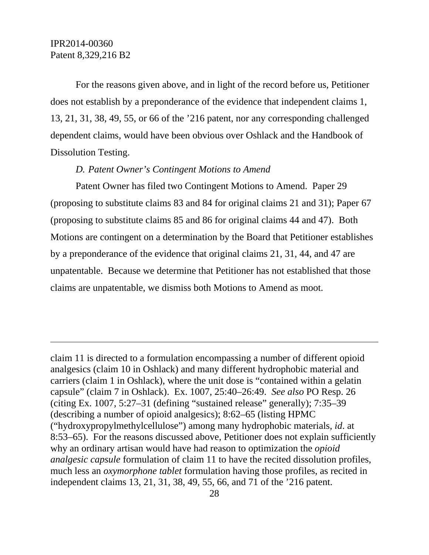-

For the reasons given above, and in light of the record before us, Petitioner does not establish by a preponderance of the evidence that independent claims 1, 13, 21, 31, 38, 49, 55, or 66 of the '216 patent, nor any corresponding challenged dependent claims, would have been obvious over Oshlack and the Handbook of Dissolution Testing.

### *D. Patent Owner's Contingent Motions to Amend*

Patent Owner has filed two Contingent Motions to Amend. Paper 29 (proposing to substitute claims 83 and 84 for original claims 21 and 31); Paper 67 (proposing to substitute claims 85 and 86 for original claims 44 and 47). Both Motions are contingent on a determination by the Board that Petitioner establishes by a preponderance of the evidence that original claims 21, 31, 44, and 47 are unpatentable. Because we determine that Petitioner has not established that those claims are unpatentable, we dismiss both Motions to Amend as moot.

claim 11 is directed to a formulation encompassing a number of different opioid analgesics (claim 10 in Oshlack) and many different hydrophobic material and carriers (claim 1 in Oshlack), where the unit dose is "contained within a gelatin capsule" (claim 7 in Oshlack). Ex. 1007, 25:40–26:49. *See also* PO Resp. 26 (citing Ex. 1007, 5:27–31 (defining "sustained release" generally); 7:35–39 (describing a number of opioid analgesics); 8:62–65 (listing HPMC ("hydroxypropylmethylcellulose") among many hydrophobic materials, *id*. at 8:53–65). For the reasons discussed above, Petitioner does not explain sufficiently why an ordinary artisan would have had reason to optimization the *opioid analgesic capsule* formulation of claim 11 to have the recited dissolution profiles, much less an *oxymorphone tablet* formulation having those profiles, as recited in independent claims 13, 21, 31, 38, 49, 55, 66, and 71 of the '216 patent.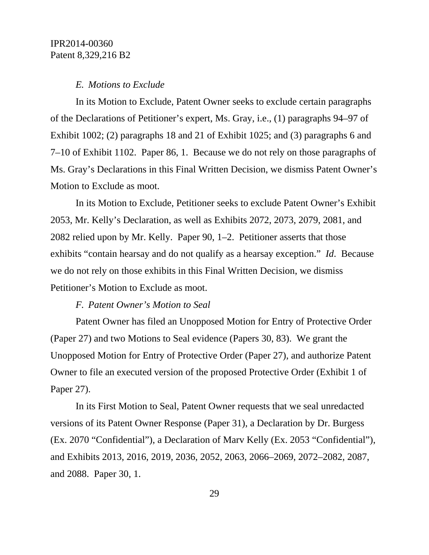#### *E. Motions to Exclude*

In its Motion to Exclude, Patent Owner seeks to exclude certain paragraphs of the Declarations of Petitioner's expert, Ms. Gray, i.e., (1) paragraphs 94–97 of Exhibit 1002; (2) paragraphs 18 and 21 of Exhibit 1025; and (3) paragraphs 6 and 7–10 of Exhibit 1102. Paper 86, 1. Because we do not rely on those paragraphs of Ms. Gray's Declarations in this Final Written Decision, we dismiss Patent Owner's Motion to Exclude as moot.

In its Motion to Exclude, Petitioner seeks to exclude Patent Owner's Exhibit 2053, Mr. Kelly's Declaration, as well as Exhibits 2072, 2073, 2079, 2081, and 2082 relied upon by Mr. Kelly. Paper 90, 1–2. Petitioner asserts that those exhibits "contain hearsay and do not qualify as a hearsay exception." *Id*. Because we do not rely on those exhibits in this Final Written Decision, we dismiss Petitioner's Motion to Exclude as moot.

### *F. Patent Owner's Motion to Seal*

Patent Owner has filed an Unopposed Motion for Entry of Protective Order (Paper 27) and two Motions to Seal evidence (Papers 30, 83). We grant the Unopposed Motion for Entry of Protective Order (Paper 27), and authorize Patent Owner to file an executed version of the proposed Protective Order (Exhibit 1 of Paper 27).

In its First Motion to Seal, Patent Owner requests that we seal unredacted versions of its Patent Owner Response (Paper 31), a Declaration by Dr. Burgess (Ex. 2070 "Confidential"), a Declaration of Marv Kelly (Ex. 2053 "Confidential"), and Exhibits 2013, 2016, 2019, 2036, 2052, 2063, 2066–2069, 2072–2082, 2087, and 2088. Paper 30, 1.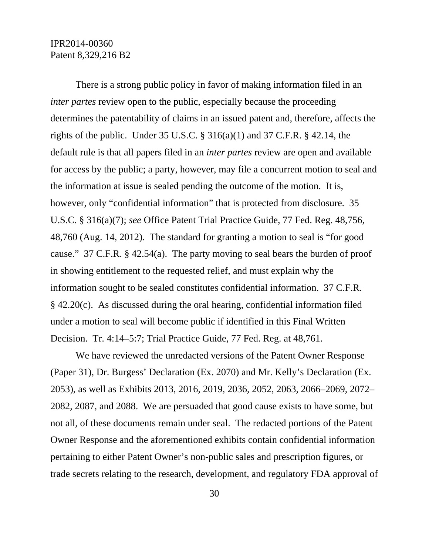There is a strong public policy in favor of making information filed in an *inter partes* review open to the public, especially because the proceeding determines the patentability of claims in an issued patent and, therefore, affects the rights of the public. Under  $35 \text{ U.S.C.}$  §  $316(a)(1)$  and  $37 \text{ C.F.R.}$  § 42.14, the default rule is that all papers filed in an *inter partes* review are open and available for access by the public; a party, however, may file a concurrent motion to seal and the information at issue is sealed pending the outcome of the motion. It is, however, only "confidential information" that is protected from disclosure. 35 U.S.C. § 316(a)(7); *see* Office Patent Trial Practice Guide, 77 Fed. Reg. 48,756, 48,760 (Aug. 14, 2012). The standard for granting a motion to seal is "for good cause." 37 C.F.R. § 42.54(a). The party moving to seal bears the burden of proof in showing entitlement to the requested relief, and must explain why the information sought to be sealed constitutes confidential information. 37 C.F.R. § 42.20(c). As discussed during the oral hearing, confidential information filed under a motion to seal will become public if identified in this Final Written Decision. Tr. 4:14–5:7; Trial Practice Guide, 77 Fed. Reg. at 48,761.

We have reviewed the unredacted versions of the Patent Owner Response (Paper 31), Dr. Burgess' Declaration (Ex. 2070) and Mr. Kelly's Declaration (Ex. 2053), as well as Exhibits 2013, 2016, 2019, 2036, 2052, 2063, 2066–2069, 2072– 2082, 2087, and 2088. We are persuaded that good cause exists to have some, but not all, of these documents remain under seal. The redacted portions of the Patent Owner Response and the aforementioned exhibits contain confidential information pertaining to either Patent Owner's non-public sales and prescription figures, or trade secrets relating to the research, development, and regulatory FDA approval of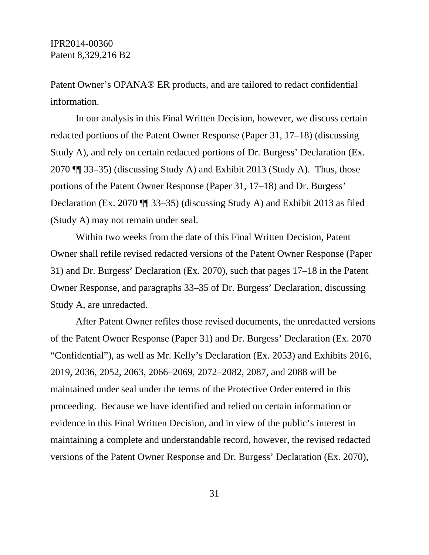Patent Owner's OPANA® ER products, and are tailored to redact confidential information.

In our analysis in this Final Written Decision, however, we discuss certain redacted portions of the Patent Owner Response (Paper 31, 17–18) (discussing Study A), and rely on certain redacted portions of Dr. Burgess' Declaration (Ex. 2070 ¶¶ 33–35) (discussing Study A) and Exhibit 2013 (Study A). Thus, those portions of the Patent Owner Response (Paper 31, 17–18) and Dr. Burgess' Declaration (Ex. 2070 ¶¶ 33–35) (discussing Study A) and Exhibit 2013 as filed (Study A) may not remain under seal.

Within two weeks from the date of this Final Written Decision, Patent Owner shall refile revised redacted versions of the Patent Owner Response (Paper 31) and Dr. Burgess' Declaration (Ex. 2070), such that pages 17–18 in the Patent Owner Response, and paragraphs 33–35 of Dr. Burgess' Declaration, discussing Study A, are unredacted.

After Patent Owner refiles those revised documents, the unredacted versions of the Patent Owner Response (Paper 31) and Dr. Burgess' Declaration (Ex. 2070 "Confidential"), as well as Mr. Kelly's Declaration (Ex. 2053) and Exhibits 2016, 2019, 2036, 2052, 2063, 2066–2069, 2072–2082, 2087, and 2088 will be maintained under seal under the terms of the Protective Order entered in this proceeding. Because we have identified and relied on certain information or evidence in this Final Written Decision, and in view of the public's interest in maintaining a complete and understandable record, however, the revised redacted versions of the Patent Owner Response and Dr. Burgess' Declaration (Ex. 2070),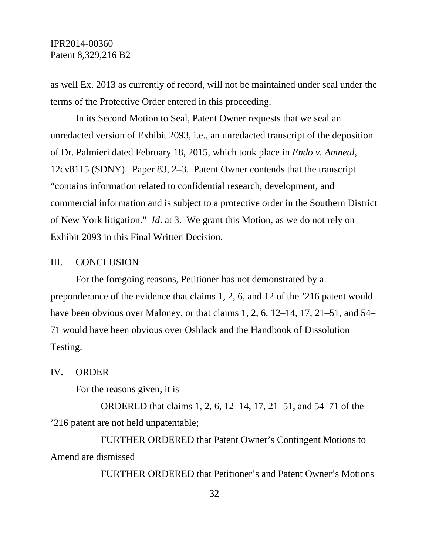as well Ex. 2013 as currently of record, will not be maintained under seal under the terms of the Protective Order entered in this proceeding.

In its Second Motion to Seal, Patent Owner requests that we seal an unredacted version of Exhibit 2093, i.e., an unredacted transcript of the deposition of Dr. Palmieri dated February 18, 2015, which took place in *Endo v. Amneal*, 12cv8115 (SDNY). Paper 83, 2–3. Patent Owner contends that the transcript "contains information related to confidential research, development, and commercial information and is subject to a protective order in the Southern District of New York litigation." *Id*. at 3. We grant this Motion, as we do not rely on Exhibit 2093 in this Final Written Decision.

### III. CONCLUSION

For the foregoing reasons, Petitioner has not demonstrated by a preponderance of the evidence that claims 1, 2, 6, and 12 of the '216 patent would have been obvious over Maloney, or that claims 1, 2, 6, 12–14, 17, 21–51, and 54– 71 would have been obvious over Oshlack and the Handbook of Dissolution Testing.

IV. ORDER

For the reasons given, it is

ORDERED that claims 1, 2, 6, 12–14, 17, 21–51, and 54–71 of the '216 patent are not held unpatentable;

FURTHER ORDERED that Patent Owner's Contingent Motions to Amend are dismissed

FURTHER ORDERED that Petitioner's and Patent Owner's Motions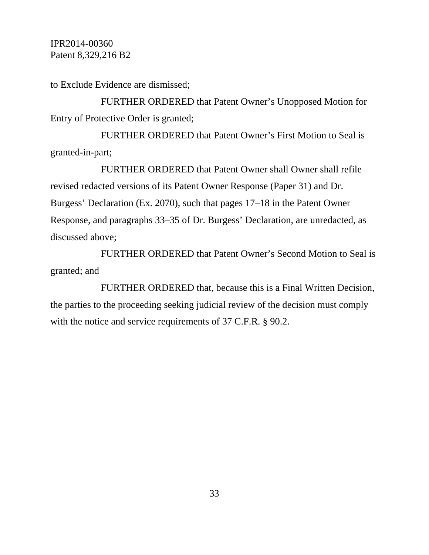to Exclude Evidence are dismissed;

FURTHER ORDERED that Patent Owner's Unopposed Motion for Entry of Protective Order is granted;

FURTHER ORDERED that Patent Owner's First Motion to Seal is granted-in-part;

FURTHER ORDERED that Patent Owner shall Owner shall refile revised redacted versions of its Patent Owner Response (Paper 31) and Dr. Burgess' Declaration (Ex. 2070), such that pages 17–18 in the Patent Owner Response, and paragraphs 33–35 of Dr. Burgess' Declaration, are unredacted, as discussed above;

FURTHER ORDERED that Patent Owner's Second Motion to Seal is granted; and

FURTHER ORDERED that, because this is a Final Written Decision, the parties to the proceeding seeking judicial review of the decision must comply with the notice and service requirements of 37 C.F.R. § 90.2.